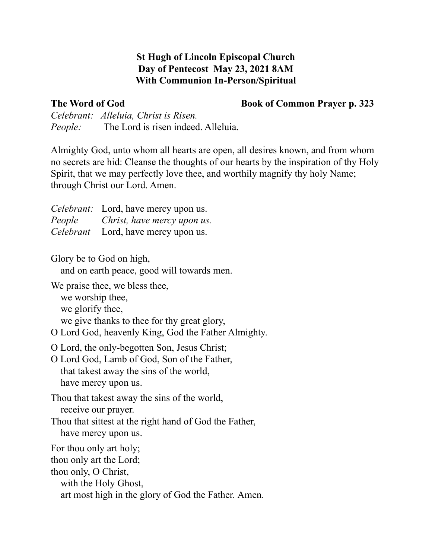# **St Hugh of Lincoln Episcopal Church Day of Pentecost May 23, 2021 8AM With Communion In-Person/Spiritual**

**The Word of God Book of Common Prayer p. 323**

*Celebrant: Alleluia, Christ is Risen. People:* The Lord is risen indeed. Alleluia.

Almighty God, unto whom all hearts are open, all desires known, and from whom no secrets are hid: Cleanse the thoughts of our hearts by the inspiration of thy Holy Spirit, that we may perfectly love thee, and worthily magnify thy holy Name; through Christ our Lord. Amen.

|           | <i>Celebrant:</i> Lord, have mercy upon us. |
|-----------|---------------------------------------------|
| People    | Christ, have mercy upon us.                 |
| Celebrant | Lord, have mercy upon us.                   |

Glory be to God on high,

and on earth peace, good will towards men.

We praise thee, we bless thee,

we worship thee,

we glorify thee,

we give thanks to thee for thy great glory,

O Lord God, heavenly King, God the Father Almighty.

O Lord, the only-begotten Son, Jesus Christ;

O Lord God, Lamb of God, Son of the Father, that takest away the sins of the world, have mercy upon us.

Thou that takest away the sins of the world, receive our prayer.

Thou that sittest at the right hand of God the Father, have mercy upon us.

For thou only art holy;

thou only art the Lord;

thou only, O Christ,

with the Holy Ghost,

art most high in the glory of God the Father. Amen.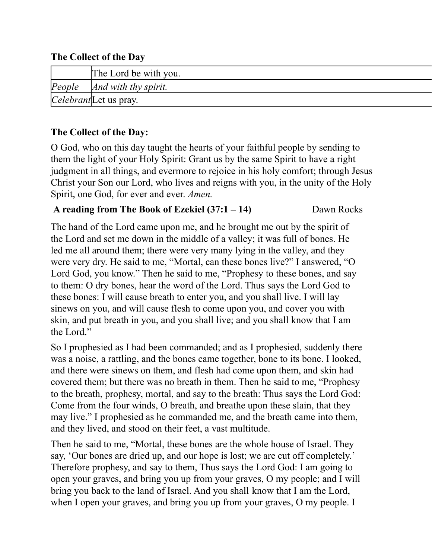### **The Collect of the Day**

|        | The Lord be with you.         |  |
|--------|-------------------------------|--|
| People | <i>And with thy spirit.</i>   |  |
|        | <i>Celebrant</i> Let us pray. |  |

# **The Collect of the Day:**

O God, who on this day taught the hearts of your faithful people by sending to them the light of your Holy Spirit: Grant us by the same Spirit to have a right judgment in all things, and evermore to rejoice in his holy comfort; through Jesus Christ your Son our Lord, who lives and reigns with you, in the unity of the Holy Spirit, one God, for ever and ever. *Amen.*

# **A reading from The Book of Ezekiel (37:1 – 14)** Dawn Rocks

The hand of the Lord came upon me, and he brought me out by the spirit of the Lord and set me down in the middle of a valley; it was full of bones. He led me all around them; there were very many lying in the valley, and they were very dry. He said to me, "Mortal, can these bones live?" I answered, "O Lord God, you know." Then he said to me, "Prophesy to these bones, and say to them: O dry bones, hear the word of the Lord. Thus says the Lord God to these bones: I will cause breath to enter you, and you shall live. I will lay sinews on you, and will cause flesh to come upon you, and cover you with skin, and put breath in you, and you shall live; and you shall know that I am the Lord."

So I prophesied as I had been commanded; and as I prophesied, suddenly there was a noise, a rattling, and the bones came together, bone to its bone. I looked, and there were sinews on them, and flesh had come upon them, and skin had covered them; but there was no breath in them. Then he said to me, "Prophesy to the breath, prophesy, mortal, and say to the breath: Thus says the Lord God: Come from the four winds, O breath, and breathe upon these slain, that they may live." I prophesied as he commanded me, and the breath came into them, and they lived, and stood on their feet, a vast multitude.

Then he said to me, "Mortal, these bones are the whole house of Israel. They say, 'Our bones are dried up, and our hope is lost; we are cut off completely.' Therefore prophesy, and say to them, Thus says the Lord God: I am going to open your graves, and bring you up from your graves, O my people; and I will bring you back to the land of Israel. And you shall know that I am the Lord, when I open your graves, and bring you up from your graves, O my people. I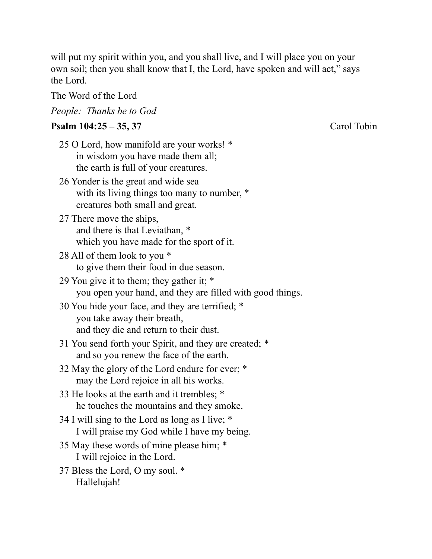will put my spirit within you, and you shall live, and I will place you on your own soil; then you shall know that I, the Lord, have spoken and will act," says the Lord.

The Word of the Lord

*People: Thanks be to God*

# **Psalm 104:25 – 35, 37** Carol Tobin

| 25 O Lord, how manifold are your works! *                 |
|-----------------------------------------------------------|
| in wisdom you have made them all;                         |
| the earth is full of your creatures.                      |
| 26 Yonder is the great and wide sea                       |
| with its living things too many to number, *              |
| creatures both small and great.                           |
| 27 There move the ships,                                  |
| and there is that Leviathan, *                            |
| which you have made for the sport of it.                  |
| 28 All of them look to you *                              |
| to give them their food in due season.                    |
| 29 You give it to them; they gather it; *                 |
| you open your hand, and they are filled with good things. |
| 30 You hide your face, and they are terrified; *          |
| you take away their breath,                               |
| and they die and return to their dust.                    |
| 31 You send forth your Spirit, and they are created; *    |
| and so you renew the face of the earth.                   |
| 32 May the glory of the Lord endure for ever; *           |
| may the Lord rejoice in all his works.                    |
| 33 He looks at the earth and it trembles; *               |
| he touches the mountains and they smoke.                  |
| 34 I will sing to the Lord as long as I live; *           |
| I will praise my God while I have my being.               |
| 35 May these words of mine please him; *                  |
| I will rejoice in the Lord.                               |
| 37 Bless the Lord, O my soul. *                           |
| Hallelujah!                                               |
|                                                           |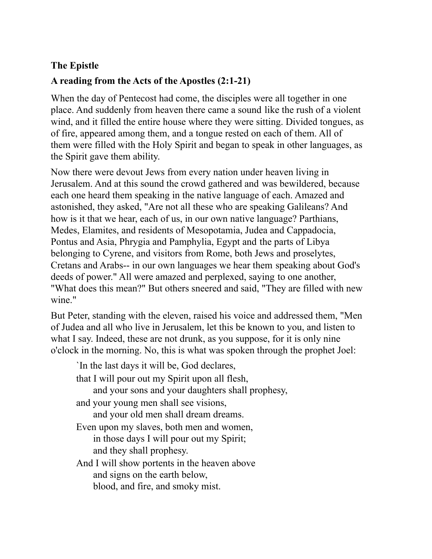# **The Epistle**

# **A reading from the Acts of the Apostles (2:1-21)**

When the day of Pentecost had come, the disciples were all together in one place. And suddenly from heaven there came a sound like the rush of a violent wind, and it filled the entire house where they were sitting. Divided tongues, as of fire, appeared among them, and a tongue rested on each of them. All of them were filled with the Holy Spirit and began to speak in other languages, as the Spirit gave them ability.

Now there were devout Jews from every nation under heaven living in Jerusalem. And at this sound the crowd gathered and was bewildered, because each one heard them speaking in the native language of each. Amazed and astonished, they asked, "Are not all these who are speaking Galileans? And how is it that we hear, each of us, in our own native language? Parthians, Medes, Elamites, and residents of Mesopotamia, Judea and Cappadocia, Pontus and Asia, Phrygia and Pamphylia, Egypt and the parts of Libya belonging to Cyrene, and visitors from Rome, both Jews and proselytes, Cretans and Arabs-- in our own languages we hear them speaking about God's deeds of power." All were amazed and perplexed, saying to one another, "What does this mean?" But others sneered and said, "They are filled with new wine."

But Peter, standing with the eleven, raised his voice and addressed them, "Men of Judea and all who live in Jerusalem, let this be known to you, and listen to what I say. Indeed, these are not drunk, as you suppose, for it is only nine o'clock in the morning. No, this is what was spoken through the prophet Joel:

`In the last days it will be, God declares, that I will pour out my Spirit upon all flesh, and your sons and your daughters shall prophesy, and your young men shall see visions, and your old men shall dream dreams. Even upon my slaves, both men and women, in those days I will pour out my Spirit; and they shall prophesy. And I will show portents in the heaven above and signs on the earth below, blood, and fire, and smoky mist.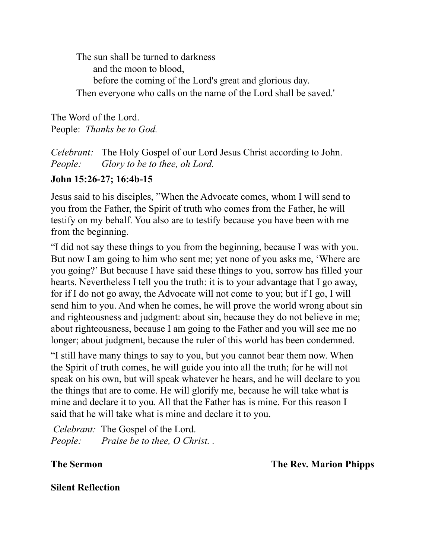The sun shall be turned to darkness and the moon to blood, before the coming of the Lord's great and glorious day. Then everyone who calls on the name of the Lord shall be saved.'

The Word of the Lord. People: *Thanks be to God.*

*Celebrant:* The Holy Gospel of our Lord Jesus Christ according to John. *People: Glory to be to thee, oh Lord.*

# **John 15:26-27; 16:4b-15**

Jesus said to his disciples, "When the Advocate comes, whom I will send to you from the Father, the Spirit of truth who comes from the Father, he will testify on my behalf. You also are to testify because you have been with me from the beginning.

"I did not say these things to you from the beginning, because I was with you. But now I am going to him who sent me; yet none of you asks me, 'Where are you going?' But because I have said these things to you, sorrow has filled your hearts. Nevertheless I tell you the truth: it is to your advantage that I go away, for if I do not go away, the Advocate will not come to you; but if I go, I will send him to you. And when he comes, he will prove the world wrong about sin and righteousness and judgment: about sin, because they do not believe in me; about righteousness, because I am going to the Father and you will see me no longer; about judgment, because the ruler of this world has been condemned.

"I still have many things to say to you, but you cannot bear them now. When the Spirit of truth comes, he will guide you into all the truth; for he will not speak on his own, but will speak whatever he hears, and he will declare to you the things that are to come. He will glorify me, because he will take what is mine and declare it to you. All that the Father has is mine. For this reason I said that he will take what is mine and declare it to you.

*Celebrant:* The Gospel of the Lord. *People: Praise be to thee, O Christ. .*

**The Sermon The Rev. Marion Phipps**

**Silent Reflection**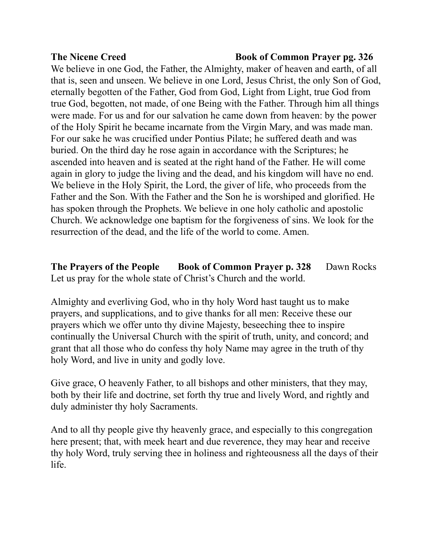# **The Nicene Creed Book of Common Prayer pg. 326**

We believe in one God, the Father, the Almighty, maker of heaven and earth, of all that is, seen and unseen. We believe in one Lord, Jesus Christ, the only Son of God, eternally begotten of the Father, God from God, Light from Light, true God from true God, begotten, not made, of one Being with the Father. Through him all things were made. For us and for our salvation he came down from heaven: by the power of the Holy Spirit he became incarnate from the Virgin Mary, and was made man. For our sake he was crucified under Pontius Pilate; he suffered death and was buried. On the third day he rose again in accordance with the Scriptures; he ascended into heaven and is seated at the right hand of the Father. He will come again in glory to judge the living and the dead, and his kingdom will have no end. We believe in the Holy Spirit, the Lord, the giver of life, who proceeds from the Father and the Son. With the Father and the Son he is worshiped and glorified. He has spoken through the Prophets. We believe in one holy catholic and apostolic Church. We acknowledge one baptism for the forgiveness of sins. We look for the resurrection of the dead, and the life of the world to come. Amen.

**The Prayers of the People Book of Common Prayer p. 328** Dawn Rocks Let us pray for the whole state of Christ's Church and the world.

Almighty and everliving God, who in thy holy Word hast taught us to make prayers, and supplications, and to give thanks for all men: Receive these our prayers which we offer unto thy divine Majesty, beseeching thee to inspire continually the Universal Church with the spirit of truth, unity, and concord; and grant that all those who do confess thy holy Name may agree in the truth of thy holy Word, and live in unity and godly love.

Give grace, O heavenly Father, to all bishops and other ministers, that they may, both by their life and doctrine, set forth thy true and lively Word, and rightly and duly administer thy holy Sacraments.

And to all thy people give thy heavenly grace, and especially to this congregation here present; that, with meek heart and due reverence, they may hear and receive thy holy Word, truly serving thee in holiness and righteousness all the days of their life.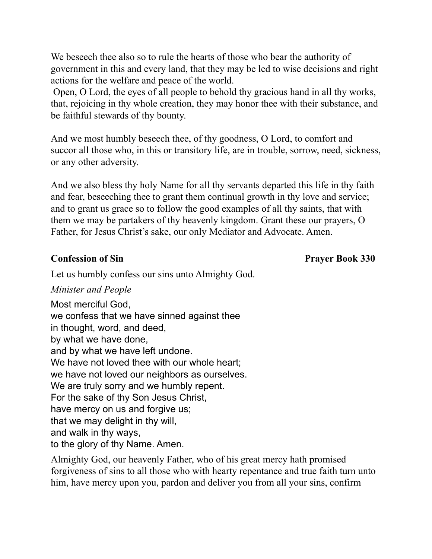We beseech thee also so to rule the hearts of those who bear the authority of government in this and every land, that they may be led to wise decisions and right actions for the welfare and peace of the world.

Open, O Lord, the eyes of all people to behold thy gracious hand in all thy works, that, rejoicing in thy whole creation, they may honor thee with their substance, and be faithful stewards of thy bounty.

And we most humbly beseech thee, of thy goodness, O Lord, to comfort and succor all those who, in this or transitory life, are in trouble, sorrow, need, sickness, or any other adversity.

And we also bless thy holy Name for all thy servants departed this life in thy faith and fear, beseeching thee to grant them continual growth in thy love and service; and to grant us grace so to follow the good examples of all thy saints, that with them we may be partakers of thy heavenly kingdom. Grant these our prayers, O Father, for Jesus Christ's sake, our only Mediator and Advocate. Amen.

## **Confession of Sin Prayer Book 330**

Let us humbly confess our sins unto Almighty God.

# *Minister and People*

Most merciful God, we confess that we have sinned against thee in thought, word, and deed, by what we have done, and by what we have left undone. We have not loved thee with our whole heart: we have not loved our neighbors as ourselves. We are truly sorry and we humbly repent. For the sake of thy Son Jesus Christ, have mercy on us and forgive us; that we may delight in thy will, and walk in thy ways, to the glory of thy Name. Amen.

Almighty God, our heavenly Father, who of his great mercy hath promised forgiveness of sins to all those who with hearty repentance and true faith turn unto him, have mercy upon you, pardon and deliver you from all your sins, confirm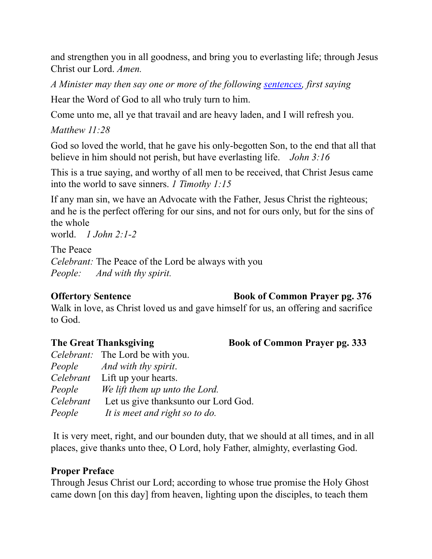and strengthen you in all goodness, and bring you to everlasting life; through Jesus Christ our Lord. *Amen.*

*A Minister may then say one or more of the following sentences, first saying*

Hear the Word of God to all who truly turn to him.

Come unto me, all ye that travail and are heavy laden, and I will refresh you.

*Matthew 11:28*

God so loved the world, that he gave his only-begotten Son, to the end that all that believe in him should not perish, but have everlasting life. *John 3:16*

This is a true saying, and worthy of all men to be received, that Christ Jesus came into the world to save sinners. *1 Timothy 1:15*

If any man sin, we have an Advocate with the Father, Jesus Christ the righteous; and he is the perfect offering for our sins, and not for ours only, but for the sins of the whole

world. *1 John 2:1-2*

The Peace *Celebrant:* The Peace of the Lord be always with you *People: And with thy spirit.*

# **Offertory Sentence Book of Common Prayer pg. 376**

Walk in love, as Christ loved us and gave himself for us, an offering and sacrifice to God.

# **The Great Thanksgiving Book of Common Prayer pg. 333**

|           | <i>Celebrant:</i> The Lord be with you. |
|-----------|-----------------------------------------|
| People    | And with thy spirit.                    |
|           | <i>Celebrant</i> Lift up your hearts.   |
| People    | We lift them up unto the Lord.          |
| Celebrant | Let us give thanksunto our Lord God.    |
| People    | It is meet and right so to do.          |

It is very meet, right, and our bounden duty, that we should at all times, and in all places, give thanks unto thee, O Lord, holy Father, almighty, everlasting God.

# **Proper Preface**

Through Jesus Christ our Lord; according to whose true promise the Holy Ghost came down [on this day] from heaven, lighting upon the disciples, to teach them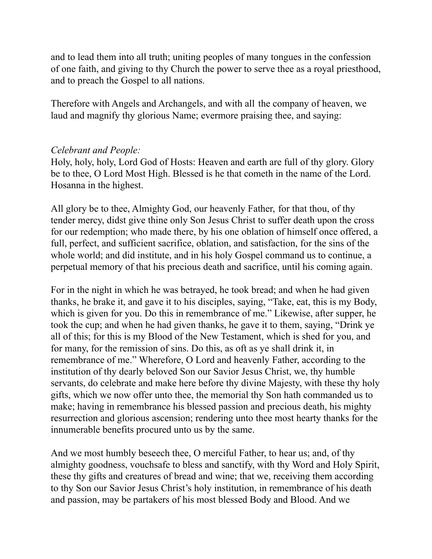and to lead them into all truth; uniting peoples of many tongues in the confession of one faith, and giving to thy Church the power to serve thee as a royal priesthood, and to preach the Gospel to all nations.

Therefore with Angels and Archangels, and with all the company of heaven, we laud and magnify thy glorious Name; evermore praising thee, and saying:

## *Celebrant and People:*

Holy, holy, holy, Lord God of Hosts: Heaven and earth are full of thy glory. Glory be to thee, O Lord Most High. Blessed is he that cometh in the name of the Lord. Hosanna in the highest.

All glory be to thee, Almighty God, our heavenly Father, for that thou, of thy tender mercy, didst give thine only Son Jesus Christ to suffer death upon the cross for our redemption; who made there, by his one oblation of himself once offered, a full, perfect, and sufficient sacrifice, oblation, and satisfaction, for the sins of the whole world; and did institute, and in his holy Gospel command us to continue, a perpetual memory of that his precious death and sacrifice, until his coming again.

For in the night in which he was betrayed, he took bread; and when he had given thanks, he brake it, and gave it to his disciples, saying, "Take, eat, this is my Body, which is given for you. Do this in remembrance of me." Likewise, after supper, he took the cup; and when he had given thanks, he gave it to them, saying, "Drink ye all of this; for this is my Blood of the New Testament, which is shed for you, and for many, for the remission of sins. Do this, as oft as ye shall drink it, in remembrance of me." Wherefore, O Lord and heavenly Father, according to the institution of thy dearly beloved Son our Savior Jesus Christ, we, thy humble servants, do celebrate and make here before thy divine Majesty, with these thy holy gifts, which we now offer unto thee, the memorial thy Son hath commanded us to make; having in remembrance his blessed passion and precious death, his mighty resurrection and glorious ascension; rendering unto thee most hearty thanks for the innumerable benefits procured unto us by the same.

And we most humbly beseech thee, O merciful Father, to hear us; and, of thy almighty goodness, vouchsafe to bless and sanctify, with thy Word and Holy Spirit, these thy gifts and creatures of bread and wine; that we, receiving them according to thy Son our Savior Jesus Christ's holy institution, in remembrance of his death and passion, may be partakers of his most blessed Body and Blood. And we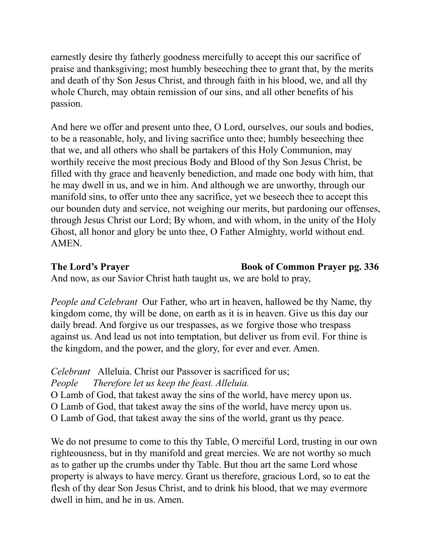earnestly desire thy fatherly goodness mercifully to accept this our sacrifice of praise and thanksgiving; most humbly beseeching thee to grant that, by the merits and death of thy Son Jesus Christ, and through faith in his blood, we, and all thy whole Church, may obtain remission of our sins, and all other benefits of his passion.

And here we offer and present unto thee, O Lord, ourselves, our souls and bodies, to be a reasonable, holy, and living sacrifice unto thee; humbly beseeching thee that we, and all others who shall be partakers of this Holy Communion, may worthily receive the most precious Body and Blood of thy Son Jesus Christ, be filled with thy grace and heavenly benediction, and made one body with him, that he may dwell in us, and we in him. And although we are unworthy, through our manifold sins, to offer unto thee any sacrifice, yet we beseech thee to accept this our bounden duty and service, not weighing our merits, but pardoning our offenses, through Jesus Christ our Lord; By whom, and with whom, in the unity of the Holy Ghost, all honor and glory be unto thee, O Father Almighty, world without end. AMEN.

## **The Lord's Prayer Book of Common Prayer pg. 336**

And now, as our Savior Christ hath taught us, we are bold to pray,

*People and Celebrant* Our Father, who art in heaven, hallowed be thy Name, thy kingdom come, thy will be done, on earth as it is in heaven. Give us this day our daily bread. And forgive us our trespasses, as we forgive those who trespass against us. And lead us not into temptation, but deliver us from evil. For thine is the kingdom, and the power, and the glory, for ever and ever. Amen.

### *Celebrant* Alleluia. Christ our Passover is sacrificed for us; *People Therefore let us keep the feast. Alleluia.*

O Lamb of God, that takest away the sins of the world, have mercy upon us. O Lamb of God, that takest away the sins of the world, have mercy upon us. O Lamb of God, that takest away the sins of the world, grant us thy peace.

We do not presume to come to this thy Table, O merciful Lord, trusting in our own righteousness, but in thy manifold and great mercies. We are not worthy so much as to gather up the crumbs under thy Table. But thou art the same Lord whose property is always to have mercy. Grant us therefore, gracious Lord, so to eat the flesh of thy dear Son Jesus Christ, and to drink his blood, that we may evermore dwell in him, and he in us. Amen.